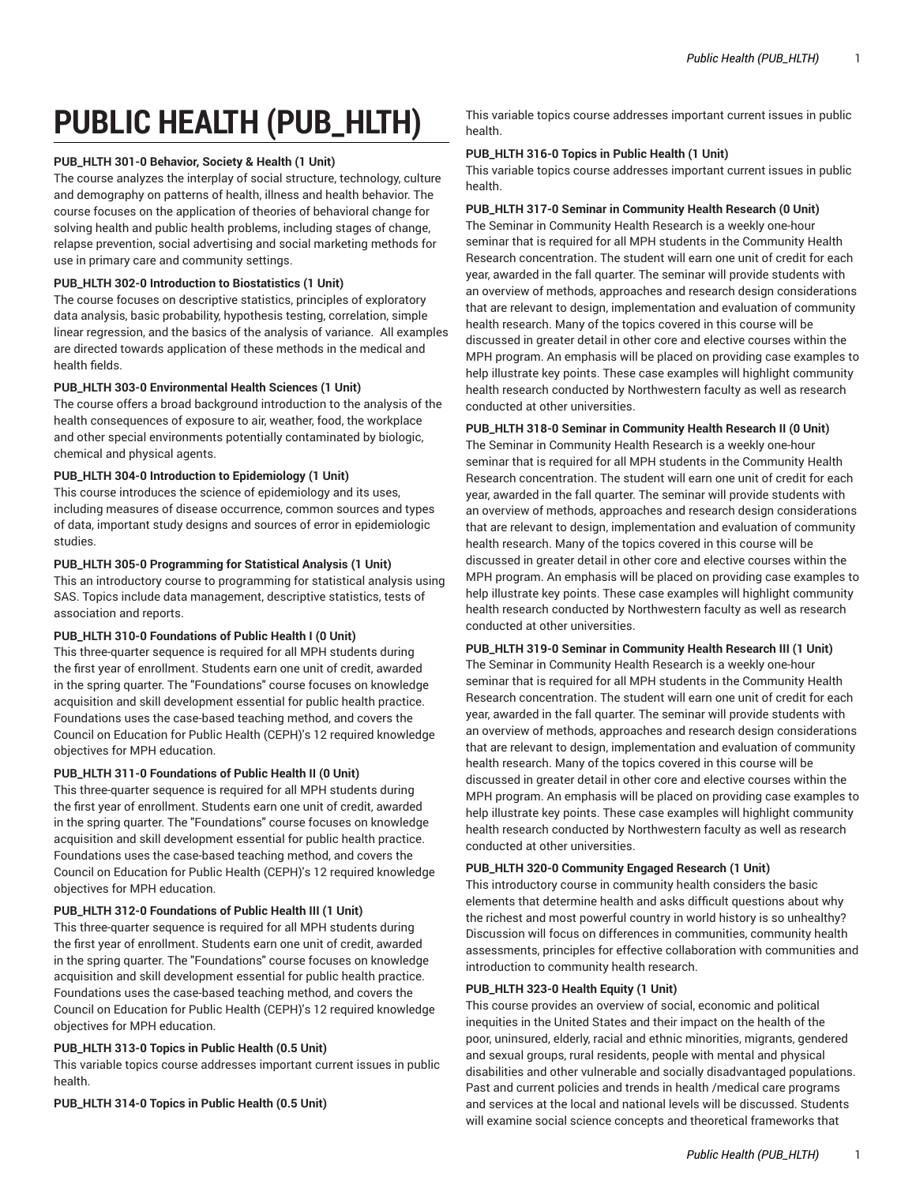# **PUBLIC HEALTH (PUB\_HLTH)**

# **PUB\_HLTH 301-0 Behavior, Society & Health (1 Unit)**

The course analyzes the interplay of social structure, technology, culture and demography on patterns of health, illness and health behavior. The course focuses on the application of theories of behavioral change for solving health and public health problems, including stages of change, relapse prevention, social advertising and social marketing methods for use in primary care and community settings.

# **PUB\_HLTH 302-0 Introduction to Biostatistics (1 Unit)**

The course focuses on descriptive statistics, principles of exploratory data analysis, basic probability, hypothesis testing, correlation, simple linear regression, and the basics of the analysis of variance. All examples are directed towards application of these methods in the medical and health fields.

## **PUB\_HLTH 303-0 Environmental Health Sciences (1 Unit)**

The course offers a broad background introduction to the analysis of the health consequences of exposure to air, weather, food, the workplace and other special environments potentially contaminated by biologic, chemical and physical agents.

# **PUB\_HLTH 304-0 Introduction to Epidemiology (1 Unit)**

This course introduces the science of epidemiology and its uses, including measures of disease occurrence, common sources and types of data, important study designs and sources of error in epidemiologic studies.

## **PUB\_HLTH 305-0 Programming for Statistical Analysis (1 Unit)**

This an introductory course to programming for statistical analysis using SAS. Topics include data management, descriptive statistics, tests of association and reports.

# **PUB\_HLTH 310-0 Foundations of Public Health I (0 Unit)**

This three-quarter sequence is required for all MPH students during the first year of enrollment. Students earn one unit of credit, awarded in the spring quarter. The "Foundations" course focuses on knowledge acquisition and skill development essential for public health practice. Foundations uses the case-based teaching method, and covers the Council on Education for Public Health (CEPH)'s 12 required knowledge objectives for MPH education.

# **PUB\_HLTH 311-0 Foundations of Public Health II (0 Unit)**

This three-quarter sequence is required for all MPH students during the first year of enrollment. Students earn one unit of credit, awarded in the spring quarter. The "Foundations" course focuses on knowledge acquisition and skill development essential for public health practice. Foundations uses the case-based teaching method, and covers the Council on Education for Public Health (CEPH)'s 12 required knowledge objectives for MPH education.

# **PUB\_HLTH 312-0 Foundations of Public Health III (1 Unit)**

This three-quarter sequence is required for all MPH students during the first year of enrollment. Students earn one unit of credit, awarded in the spring quarter. The "Foundations" course focuses on knowledge acquisition and skill development essential for public health practice. Foundations uses the case-based teaching method, and covers the Council on Education for Public Health (CEPH)'s 12 required knowledge objectives for MPH education.

# **PUB\_HLTH 313-0 Topics in Public Health (0.5 Unit)**

This variable topics course addresses important current issues in public health.

**PUB\_HLTH 314-0 Topics in Public Health (0.5 Unit)**

This variable topics course addresses important current issues in public health.

# **PUB\_HLTH 316-0 Topics in Public Health (1 Unit)**

This variable topics course addresses important current issues in public health.

## **PUB\_HLTH 317-0 Seminar in Community Health Research (0 Unit)**

The Seminar in Community Health Research is a weekly one-hour seminar that is required for all MPH students in the Community Health Research concentration. The student will earn one unit of credit for each year, awarded in the fall quarter. The seminar will provide students with an overview of methods, approaches and research design considerations that are relevant to design, implementation and evaluation of community health research. Many of the topics covered in this course will be discussed in greater detail in other core and elective courses within the MPH program. An emphasis will be placed on providing case examples to help illustrate key points. These case examples will highlight community health research conducted by Northwestern faculty as well as research conducted at other universities.

# **PUB\_HLTH 318-0 Seminar in Community Health Research II (0 Unit)**

The Seminar in Community Health Research is a weekly one-hour seminar that is required for all MPH students in the Community Health Research concentration. The student will earn one unit of credit for each year, awarded in the fall quarter. The seminar will provide students with an overview of methods, approaches and research design considerations that are relevant to design, implementation and evaluation of community health research. Many of the topics covered in this course will be discussed in greater detail in other core and elective courses within the MPH program. An emphasis will be placed on providing case examples to help illustrate key points. These case examples will highlight community health research conducted by Northwestern faculty as well as research conducted at other universities.

# **PUB\_HLTH 319-0 Seminar in Community Health Research III (1 Unit)**

The Seminar in Community Health Research is a weekly one-hour seminar that is required for all MPH students in the Community Health Research concentration. The student will earn one unit of credit for each year, awarded in the fall quarter. The seminar will provide students with an overview of methods, approaches and research design considerations that are relevant to design, implementation and evaluation of community health research. Many of the topics covered in this course will be discussed in greater detail in other core and elective courses within the MPH program. An emphasis will be placed on providing case examples to help illustrate key points. These case examples will highlight community health research conducted by Northwestern faculty as well as research conducted at other universities.

# **PUB\_HLTH 320-0 Community Engaged Research (1 Unit)**

This introductory course in community health considers the basic elements that determine health and asks difficult questions about why the richest and most powerful country in world history is so unhealthy? Discussion will focus on differences in communities, community health assessments, principles for effective collaboration with communities and introduction to community health research.

#### **PUB\_HLTH 323-0 Health Equity (1 Unit)**

This course provides an overview of social, economic and political inequities in the United States and their impact on the health of the poor, uninsured, elderly, racial and ethnic minorities, migrants, gendered and sexual groups, rural residents, people with mental and physical disabilities and other vulnerable and socially disadvantaged populations. Past and current policies and trends in health /medical care programs and services at the local and national levels will be discussed. Students will examine social science concepts and theoretical frameworks that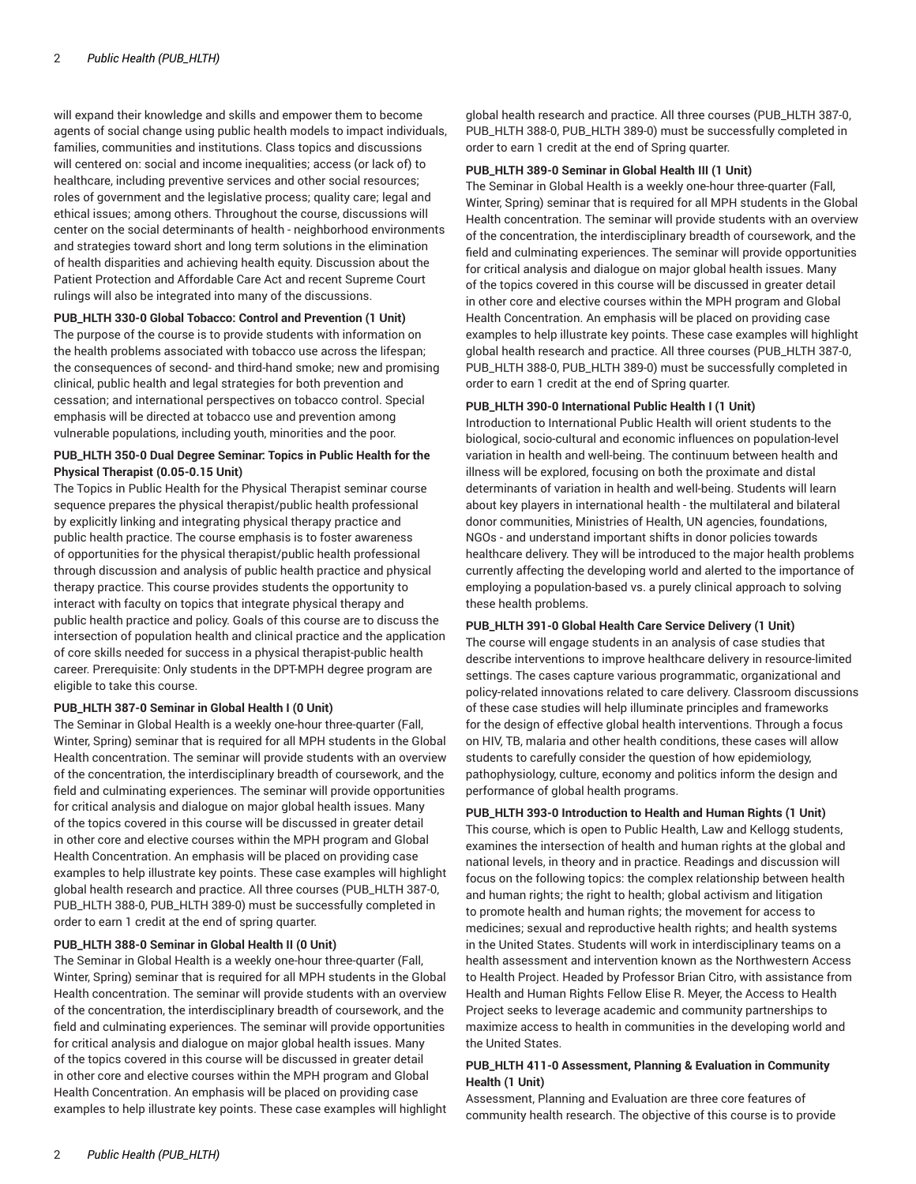will expand their knowledge and skills and empower them to become agents of social change using public health models to impact individuals, families, communities and institutions. Class topics and discussions will centered on: social and income inequalities; access (or lack of) to healthcare, including preventive services and other social resources; roles of government and the legislative process; quality care; legal and ethical issues; among others. Throughout the course, discussions will center on the social determinants of health - neighborhood environments and strategies toward short and long term solutions in the elimination of health disparities and achieving health equity. Discussion about the Patient Protection and Affordable Care Act and recent Supreme Court rulings will also be integrated into many of the discussions.

## **PUB\_HLTH 330-0 Global Tobacco: Control and Prevention (1 Unit)**

The purpose of the course is to provide students with information on the health problems associated with tobacco use across the lifespan; the consequences of second- and third-hand smoke; new and promising clinical, public health and legal strategies for both prevention and cessation; and international perspectives on tobacco control. Special emphasis will be directed at tobacco use and prevention among vulnerable populations, including youth, minorities and the poor.

# **PUB\_HLTH 350-0 Dual Degree Seminar: Topics in Public Health for the Physical Therapist (0.05-0.15 Unit)**

The Topics in Public Health for the Physical Therapist seminar course sequence prepares the physical therapist/public health professional by explicitly linking and integrating physical therapy practice and public health practice. The course emphasis is to foster awareness of opportunities for the physical therapist/public health professional through discussion and analysis of public health practice and physical therapy practice. This course provides students the opportunity to interact with faculty on topics that integrate physical therapy and public health practice and policy. Goals of this course are to discuss the intersection of population health and clinical practice and the application of core skills needed for success in a physical therapist-public health career. Prerequisite: Only students in the DPT-MPH degree program are eligible to take this course.

## **PUB\_HLTH 387-0 Seminar in Global Health I (0 Unit)**

The Seminar in Global Health is a weekly one-hour three-quarter (Fall, Winter, Spring) seminar that is required for all MPH students in the Global Health concentration. The seminar will provide students with an overview of the concentration, the interdisciplinary breadth of coursework, and the field and culminating experiences. The seminar will provide opportunities for critical analysis and dialogue on major global health issues. Many of the topics covered in this course will be discussed in greater detail in other core and elective courses within the MPH program and Global Health Concentration. An emphasis will be placed on providing case examples to help illustrate key points. These case examples will highlight global health research and practice. All three courses (PUB\_HLTH 387-0, PUB\_HLTH 388-0, PUB\_HLTH 389-0) must be successfully completed in order to earn 1 credit at the end of spring quarter.

#### **PUB\_HLTH 388-0 Seminar in Global Health II (0 Unit)**

The Seminar in Global Health is a weekly one-hour three-quarter (Fall, Winter, Spring) seminar that is required for all MPH students in the Global Health concentration. The seminar will provide students with an overview of the concentration, the interdisciplinary breadth of coursework, and the field and culminating experiences. The seminar will provide opportunities for critical analysis and dialogue on major global health issues. Many of the topics covered in this course will be discussed in greater detail in other core and elective courses within the MPH program and Global Health Concentration. An emphasis will be placed on providing case examples to help illustrate key points. These case examples will highlight

global health research and practice. All three courses (PUB\_HLTH 387-0, PUB\_HLTH 388-0, PUB\_HLTH 389-0) must be successfully completed in order to earn 1 credit at the end of Spring quarter.

#### **PUB\_HLTH 389-0 Seminar in Global Health III (1 Unit)**

The Seminar in Global Health is a weekly one-hour three-quarter (Fall, Winter, Spring) seminar that is required for all MPH students in the Global Health concentration. The seminar will provide students with an overview of the concentration, the interdisciplinary breadth of coursework, and the field and culminating experiences. The seminar will provide opportunities for critical analysis and dialogue on major global health issues. Many of the topics covered in this course will be discussed in greater detail in other core and elective courses within the MPH program and Global Health Concentration. An emphasis will be placed on providing case examples to help illustrate key points. These case examples will highlight global health research and practice. All three courses (PUB\_HLTH 387-0, PUB\_HLTH 388-0, PUB\_HLTH 389-0) must be successfully completed in order to earn 1 credit at the end of Spring quarter.

#### **PUB\_HLTH 390-0 International Public Health I (1 Unit)**

Introduction to International Public Health will orient students to the biological, socio-cultural and economic influences on population-level variation in health and well-being. The continuum between health and illness will be explored, focusing on both the proximate and distal determinants of variation in health and well-being. Students will learn about key players in international health - the multilateral and bilateral donor communities, Ministries of Health, UN agencies, foundations, NGOs - and understand important shifts in donor policies towards healthcare delivery. They will be introduced to the major health problems currently affecting the developing world and alerted to the importance of employing a population-based vs. a purely clinical approach to solving these health problems.

# **PUB\_HLTH 391-0 Global Health Care Service Delivery (1 Unit)**

The course will engage students in an analysis of case studies that describe interventions to improve healthcare delivery in resource-limited settings. The cases capture various programmatic, organizational and policy-related innovations related to care delivery. Classroom discussions of these case studies will help illuminate principles and frameworks for the design of effective global health interventions. Through a focus on HIV, TB, malaria and other health conditions, these cases will allow students to carefully consider the question of how epidemiology, pathophysiology, culture, economy and politics inform the design and performance of global health programs.

#### **PUB\_HLTH 393-0 Introduction to Health and Human Rights (1 Unit)**

This course, which is open to Public Health, Law and Kellogg students, examines the intersection of health and human rights at the global and national levels, in theory and in practice. Readings and discussion will focus on the following topics: the complex relationship between health and human rights; the right to health; global activism and litigation to promote health and human rights; the movement for access to medicines; sexual and reproductive health rights; and health systems in the United States. Students will work in interdisciplinary teams on a health assessment and intervention known as the Northwestern Access to Health Project. Headed by Professor Brian Citro, with assistance from Health and Human Rights Fellow Elise R. Meyer, the Access to Health Project seeks to leverage academic and community partnerships to maximize access to health in communities in the developing world and the United States.

#### **PUB\_HLTH 411-0 Assessment, Planning & Evaluation in Community Health (1 Unit)**

Assessment, Planning and Evaluation are three core features of community health research. The objective of this course is to provide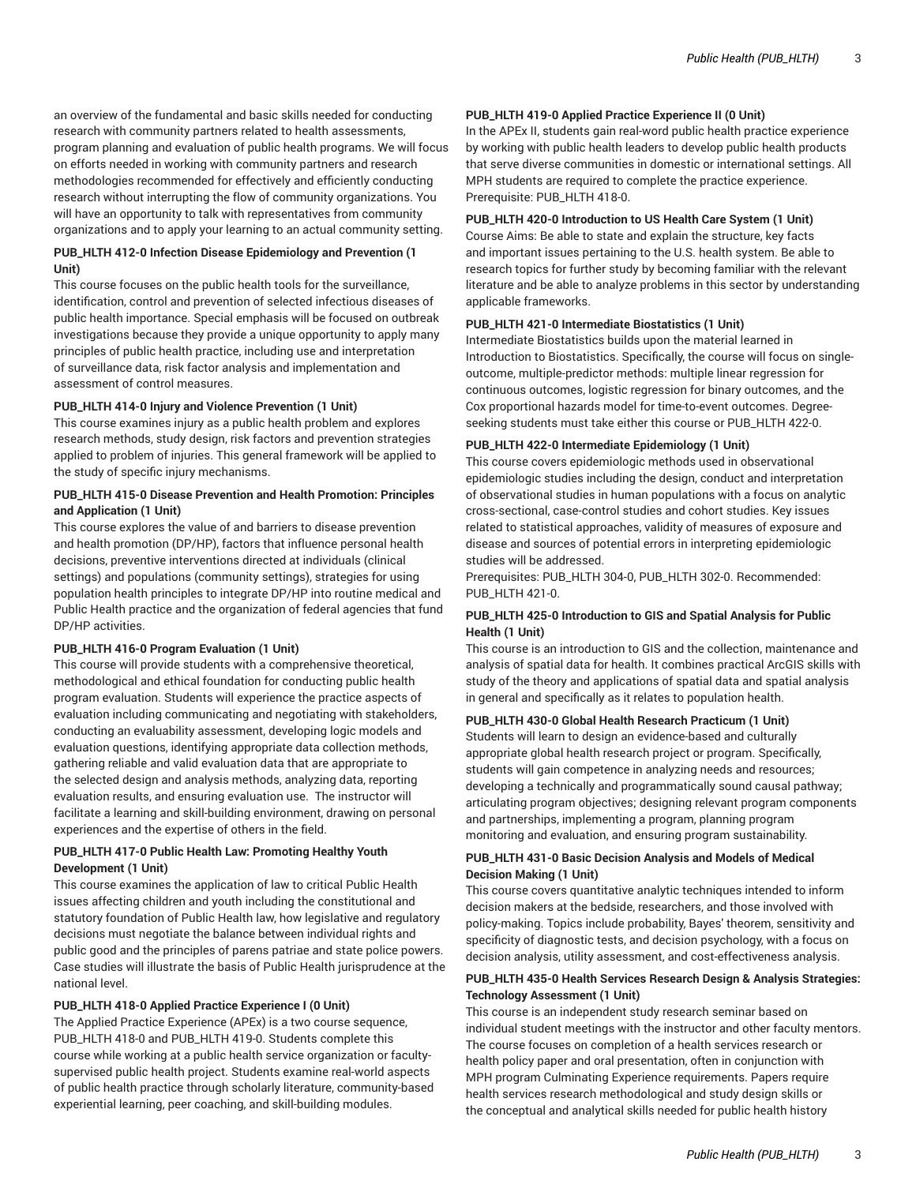an overview of the fundamental and basic skills needed for conducting research with community partners related to health assessments, program planning and evaluation of public health programs. We will focus on efforts needed in working with community partners and research methodologies recommended for effectively and efficiently conducting research without interrupting the flow of community organizations. You will have an opportunity to talk with representatives from community organizations and to apply your learning to an actual community setting.

# **PUB\_HLTH 412-0 Infection Disease Epidemiology and Prevention (1 Unit)**

This course focuses on the public health tools for the surveillance, identification, control and prevention of selected infectious diseases of public health importance. Special emphasis will be focused on outbreak investigations because they provide a unique opportunity to apply many principles of public health practice, including use and interpretation of surveillance data, risk factor analysis and implementation and assessment of control measures.

#### **PUB\_HLTH 414-0 Injury and Violence Prevention (1 Unit)**

This course examines injury as a public health problem and explores research methods, study design, risk factors and prevention strategies applied to problem of injuries. This general framework will be applied to the study of specific injury mechanisms.

# **PUB\_HLTH 415-0 Disease Prevention and Health Promotion: Principles and Application (1 Unit)**

This course explores the value of and barriers to disease prevention and health promotion (DP/HP), factors that influence personal health decisions, preventive interventions directed at individuals (clinical settings) and populations (community settings), strategies for using population health principles to integrate DP/HP into routine medical and Public Health practice and the organization of federal agencies that fund DP/HP activities.

#### **PUB\_HLTH 416-0 Program Evaluation (1 Unit)**

This course will provide students with a comprehensive theoretical, methodological and ethical foundation for conducting public health program evaluation. Students will experience the practice aspects of evaluation including communicating and negotiating with stakeholders, conducting an evaluability assessment, developing logic models and evaluation questions, identifying appropriate data collection methods, gathering reliable and valid evaluation data that are appropriate to the selected design and analysis methods, analyzing data, reporting evaluation results, and ensuring evaluation use. The instructor will facilitate a learning and skill-building environment, drawing on personal experiences and the expertise of others in the field.

## **PUB\_HLTH 417-0 Public Health Law: Promoting Healthy Youth Development (1 Unit)**

This course examines the application of law to critical Public Health issues affecting children and youth including the constitutional and statutory foundation of Public Health law, how legislative and regulatory decisions must negotiate the balance between individual rights and public good and the principles of parens patriae and state police powers. Case studies will illustrate the basis of Public Health jurisprudence at the national level.

# **PUB\_HLTH 418-0 Applied Practice Experience I (0 Unit)**

The Applied Practice Experience (APEx) is a two course sequence, PUB\_HLTH 418-0 and PUB\_HLTH 419-0. Students complete this course while working at a public health service organization or facultysupervised public health project. Students examine real-world aspects of public health practice through scholarly literature, community-based experiential learning, peer coaching, and skill-building modules.

## **PUB\_HLTH 419-0 Applied Practice Experience II (0 Unit)**

In the APEx II, students gain real-word public health practice experience by working with public health leaders to develop public health products that serve diverse communities in domestic or international settings. All MPH students are required to complete the practice experience. Prerequisite: PUB\_HLTH 418-0.

# **PUB\_HLTH 420-0 Introduction to US Health Care System (1 Unit)**

Course Aims: Be able to state and explain the structure, key facts and important issues pertaining to the U.S. health system. Be able to research topics for further study by becoming familiar with the relevant literature and be able to analyze problems in this sector by understanding applicable frameworks.

## **PUB\_HLTH 421-0 Intermediate Biostatistics (1 Unit)**

Intermediate Biostatistics builds upon the material learned in Introduction to Biostatistics. Specifically, the course will focus on singleoutcome, multiple-predictor methods: multiple linear regression for continuous outcomes, logistic regression for binary outcomes, and the Cox proportional hazards model for time-to-event outcomes. Degreeseeking students must take either this course or PUB\_HLTH 422-0.

## **PUB\_HLTH 422-0 Intermediate Epidemiology (1 Unit)**

This course covers epidemiologic methods used in observational epidemiologic studies including the design, conduct and interpretation of observational studies in human populations with a focus on analytic cross-sectional, case-control studies and cohort studies. Key issues related to statistical approaches, validity of measures of exposure and disease and sources of potential errors in interpreting epidemiologic studies will be addressed.

Prerequisites: PUB\_HLTH 304-0, PUB\_HLTH 302-0. Recommended: PUB\_HLTH 421-0.

# **PUB\_HLTH 425-0 Introduction to GIS and Spatial Analysis for Public Health (1 Unit)**

This course is an introduction to GIS and the collection, maintenance and analysis of spatial data for health. It combines practical ArcGIS skills with study of the theory and applications of spatial data and spatial analysis in general and specifically as it relates to population health.

#### **PUB\_HLTH 430-0 Global Health Research Practicum (1 Unit)**

Students will learn to design an evidence-based and culturally appropriate global health research project or program. Specifically, students will gain competence in analyzing needs and resources; developing a technically and programmatically sound causal pathway; articulating program objectives; designing relevant program components and partnerships, implementing a program, planning program monitoring and evaluation, and ensuring program sustainability.

# **PUB\_HLTH 431-0 Basic Decision Analysis and Models of Medical Decision Making (1 Unit)**

This course covers quantitative analytic techniques intended to inform decision makers at the bedside, researchers, and those involved with policy-making. Topics include probability, Bayes' theorem, sensitivity and specificity of diagnostic tests, and decision psychology, with a focus on decision analysis, utility assessment, and cost-effectiveness analysis.

# **PUB\_HLTH 435-0 Health Services Research Design & Analysis Strategies: Technology Assessment (1 Unit)**

This course is an independent study research seminar based on individual student meetings with the instructor and other faculty mentors. The course focuses on completion of a health services research or health policy paper and oral presentation, often in conjunction with MPH program Culminating Experience requirements. Papers require health services research methodological and study design skills or the conceptual and analytical skills needed for public health history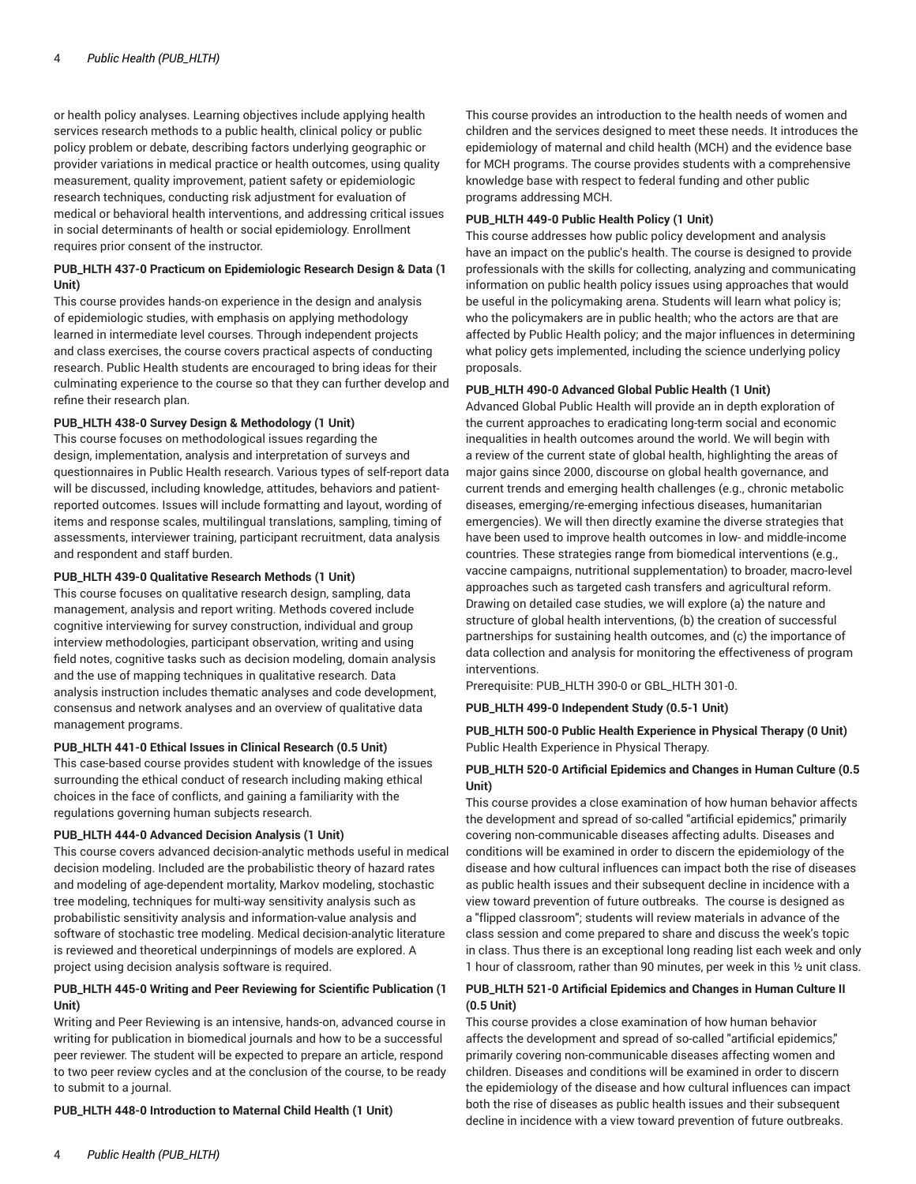or health policy analyses. Learning objectives include applying health services research methods to a public health, clinical policy or public policy problem or debate, describing factors underlying geographic or provider variations in medical practice or health outcomes, using quality measurement, quality improvement, patient safety or epidemiologic research techniques, conducting risk adjustment for evaluation of medical or behavioral health interventions, and addressing critical issues in social determinants of health or social epidemiology. Enrollment requires prior consent of the instructor.

# **PUB\_HLTH 437-0 Practicum on Epidemiologic Research Design & Data (1 Unit)**

This course provides hands-on experience in the design and analysis of epidemiologic studies, with emphasis on applying methodology learned in intermediate level courses. Through independent projects and class exercises, the course covers practical aspects of conducting research. Public Health students are encouraged to bring ideas for their culminating experience to the course so that they can further develop and refine their research plan.

#### **PUB\_HLTH 438-0 Survey Design & Methodology (1 Unit)**

This course focuses on methodological issues regarding the design, implementation, analysis and interpretation of surveys and questionnaires in Public Health research. Various types of self-report data will be discussed, including knowledge, attitudes, behaviors and patientreported outcomes. Issues will include formatting and layout, wording of items and response scales, multilingual translations, sampling, timing of assessments, interviewer training, participant recruitment, data analysis and respondent and staff burden.

#### **PUB\_HLTH 439-0 Qualitative Research Methods (1 Unit)**

This course focuses on qualitative research design, sampling, data management, analysis and report writing. Methods covered include cognitive interviewing for survey construction, individual and group interview methodologies, participant observation, writing and using field notes, cognitive tasks such as decision modeling, domain analysis and the use of mapping techniques in qualitative research. Data analysis instruction includes thematic analyses and code development, consensus and network analyses and an overview of qualitative data management programs.

#### **PUB\_HLTH 441-0 Ethical Issues in Clinical Research (0.5 Unit)**

This case-based course provides student with knowledge of the issues surrounding the ethical conduct of research including making ethical choices in the face of conflicts, and gaining a familiarity with the regulations governing human subjects research.

#### **PUB\_HLTH 444-0 Advanced Decision Analysis (1 Unit)**

This course covers advanced decision-analytic methods useful in medical decision modeling. Included are the probabilistic theory of hazard rates and modeling of age-dependent mortality, Markov modeling, stochastic tree modeling, techniques for multi-way sensitivity analysis such as probabilistic sensitivity analysis and information-value analysis and software of stochastic tree modeling. Medical decision-analytic literature is reviewed and theoretical underpinnings of models are explored. A project using decision analysis software is required.

#### **PUB\_HLTH 445-0 Writing and Peer Reviewing for Scientific Publication (1 Unit)**

Writing and Peer Reviewing is an intensive, hands-on, advanced course in writing for publication in biomedical journals and how to be a successful peer reviewer. The student will be expected to prepare an article, respond to two peer review cycles and at the conclusion of the course, to be ready to submit to a journal.

**PUB\_HLTH 448-0 Introduction to Maternal Child Health (1 Unit)**

This course provides an introduction to the health needs of women and children and the services designed to meet these needs. It introduces the epidemiology of maternal and child health (MCH) and the evidence base for MCH programs. The course provides students with a comprehensive knowledge base with respect to federal funding and other public programs addressing MCH.

#### **PUB\_HLTH 449-0 Public Health Policy (1 Unit)**

This course addresses how public policy development and analysis have an impact on the public's health. The course is designed to provide professionals with the skills for collecting, analyzing and communicating information on public health policy issues using approaches that would be useful in the policymaking arena. Students will learn what policy is; who the policymakers are in public health; who the actors are that are affected by Public Health policy; and the major influences in determining what policy gets implemented, including the science underlying policy proposals.

#### **PUB\_HLTH 490-0 Advanced Global Public Health (1 Unit)**

Advanced Global Public Health will provide an in depth exploration of the current approaches to eradicating long-term social and economic inequalities in health outcomes around the world. We will begin with a review of the current state of global health, highlighting the areas of major gains since 2000, discourse on global health governance, and current trends and emerging health challenges (e.g., chronic metabolic diseases, emerging/re-emerging infectious diseases, humanitarian emergencies). We will then directly examine the diverse strategies that have been used to improve health outcomes in low- and middle-income countries. These strategies range from biomedical interventions (e.g., vaccine campaigns, nutritional supplementation) to broader, macro-level approaches such as targeted cash transfers and agricultural reform. Drawing on detailed case studies, we will explore (a) the nature and structure of global health interventions, (b) the creation of successful partnerships for sustaining health outcomes, and (c) the importance of data collection and analysis for monitoring the effectiveness of program interventions.

Prerequisite: PUB\_HLTH 390-0 or GBL\_HLTH 301-0.

**PUB\_HLTH 499-0 Independent Study (0.5-1 Unit)**

## **PUB\_HLTH 500-0 Public Health Experience in Physical Therapy (0 Unit)** Public Health Experience in Physical Therapy.

## **PUB\_HLTH 520-0 Artificial Epidemics and Changes in Human Culture (0.5 Unit)**

This course provides a close examination of how human behavior affects the development and spread of so-called "artificial epidemics," primarily covering non-communicable diseases affecting adults. Diseases and conditions will be examined in order to discern the epidemiology of the disease and how cultural influences can impact both the rise of diseases as public health issues and their subsequent decline in incidence with a view toward prevention of future outbreaks. The course is designed as a "flipped classroom"; students will review materials in advance of the class session and come prepared to share and discuss the week's topic in class. Thus there is an exceptional long reading list each week and only 1 hour of classroom, rather than 90 minutes, per week in this ½ unit class.

# **PUB\_HLTH 521-0 Artificial Epidemics and Changes in Human Culture II (0.5 Unit)**

This course provides a close examination of how human behavior affects the development and spread of so-called "artificial epidemics," primarily covering non-communicable diseases affecting women and children. Diseases and conditions will be examined in order to discern the epidemiology of the disease and how cultural influences can impact both the rise of diseases as public health issues and their subsequent decline in incidence with a view toward prevention of future outbreaks.